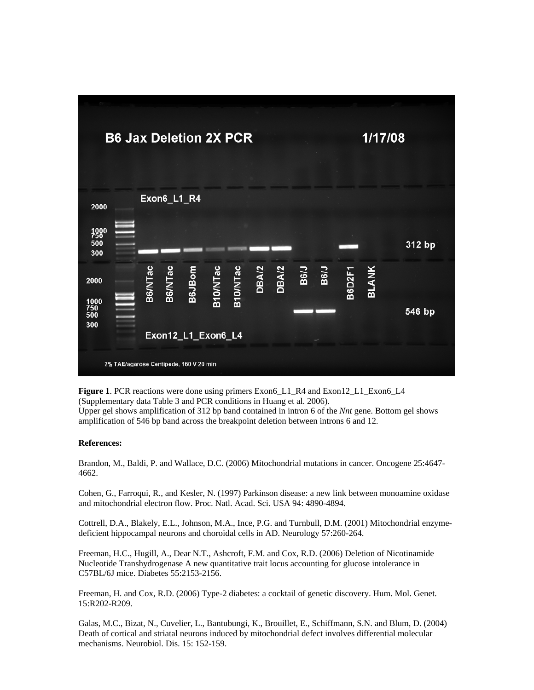

**Figure 1**. PCR reactions were done using primers Exon6\_L1\_R4 and Exon12\_L1\_Exon6\_L4 (Supplementary data Table 3 and PCR conditions in Huang et al. 2006). Upper gel shows amplification of 312 bp band contained in intron 6 of the *Nnt* gene. Bottom gel shows amplification of 546 bp band across the breakpoint deletion between introns 6 and 12.

## **References:**

Brandon, M., Baldi, P. and Wallace, D.C. (2006) Mitochondrial mutations in cancer. Oncogene 25:4647- 4662.

Cohen, G., Farroqui, R., and Kesler, N. (1997) Parkinson disease: a new link between monoamine oxidase and mitochondrial electron flow. Proc. Natl. Acad. Sci. USA 94: 4890-4894.

Cottrell, D.A., Blakely, E.L., Johnson, M.A., Ince, P.G. and Turnbull, D.M. (2001) Mitochondrial enzymedeficient hippocampal neurons and choroidal cells in AD. Neurology 57:260-264.

Freeman, H.C., Hugill, A., Dear N.T., Ashcroft, F.M. and Cox, R.D. (2006) Deletion of Nicotinamide Nucleotide Transhydrogenase A new quantitative trait locus accounting for glucose intolerance in C57BL/6J mice. Diabetes 55:2153-2156.

Freeman, H. and Cox, R.D. (2006) Type-2 diabetes: a cocktail of genetic discovery. Hum. Mol. Genet. 15:R202-R209.

Galas, M.C., Bizat, N., Cuvelier, L., Bantubungi, K., Brouillet, E., Schiffmann, S.N. and Blum, D. (2004) Death of cortical and striatal neurons induced by mitochondrial defect involves differential molecular mechanisms. Neurobiol. Dis. 15: 152-159.